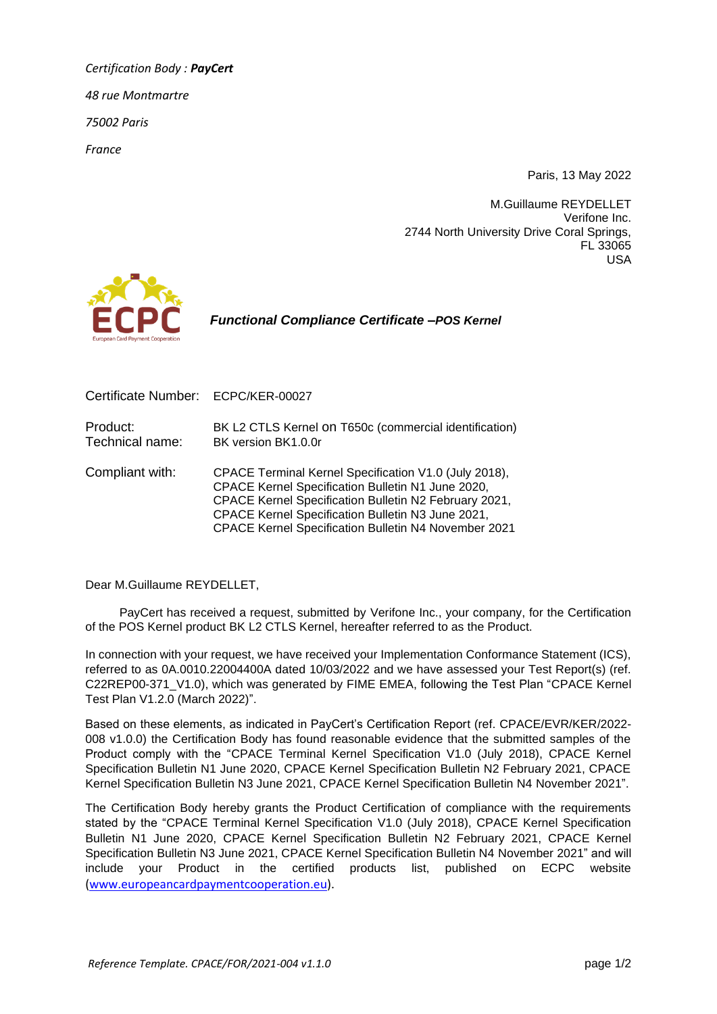*Certification Body : PayCert 48 rue Montmartre 75002 Paris France*

Paris, 13 May 2022

M.Guillaume REYDELLET Verifone Inc. 2744 North University Drive Coral Springs, FL 33065 USA



 *Functional Compliance Certificate –POS Kernel*

| Certificate Number: ECPC/KER-00027 |                                                                                                                                                                                                                                                                                  |
|------------------------------------|----------------------------------------------------------------------------------------------------------------------------------------------------------------------------------------------------------------------------------------------------------------------------------|
| Product:<br>Technical name:        | BK L2 CTLS Kernel on T650c (commercial identification)<br>BK version BK1.0.0r                                                                                                                                                                                                    |
| Compliant with:                    | CPACE Terminal Kernel Specification V1.0 (July 2018),<br>CPACE Kernel Specification Bulletin N1 June 2020,<br>CPACE Kernel Specification Bulletin N2 February 2021,<br>CPACE Kernel Specification Bulletin N3 June 2021,<br>CPACE Kernel Specification Bulletin N4 November 2021 |

Dear M.Guillaume REYDELLET,

PayCert has received a request, submitted by Verifone Inc., your company, for the Certification of the POS Kernel product BK L2 CTLS Kernel, hereafter referred to as the Product.

In connection with your request, we have received your Implementation Conformance Statement (ICS), referred to as 0A.0010.22004400A dated 10/03/2022 and we have assessed your Test Report(s) (ref. C22REP00-371\_V1.0), which was generated by FIME EMEA, following the Test Plan "CPACE Kernel Test Plan V1.2.0 (March 2022)".

Based on these elements, as indicated in PayCert's Certification Report (ref. CPACE/EVR/KER/2022- 008 v1.0.0) the Certification Body has found reasonable evidence that the submitted samples of the Product comply with the "CPACE Terminal Kernel Specification V1.0 (July 2018), CPACE Kernel Specification Bulletin N1 June 2020, CPACE Kernel Specification Bulletin N2 February 2021, CPACE Kernel Specification Bulletin N3 June 2021, CPACE Kernel Specification Bulletin N4 November 2021".

The Certification Body hereby grants the Product Certification of compliance with the requirements stated by the "CPACE Terminal Kernel Specification V1.0 (July 2018), CPACE Kernel Specification Bulletin N1 June 2020, CPACE Kernel Specification Bulletin N2 February 2021, CPACE Kernel Specification Bulletin N3 June 2021, CPACE Kernel Specification Bulletin N4 November 2021" and will include your Product in the certified products list, published on ECPC website [\(www.europeancardpaymentcooperation.eu\)](http://www.europeancardpaymentcooperation.eu/).